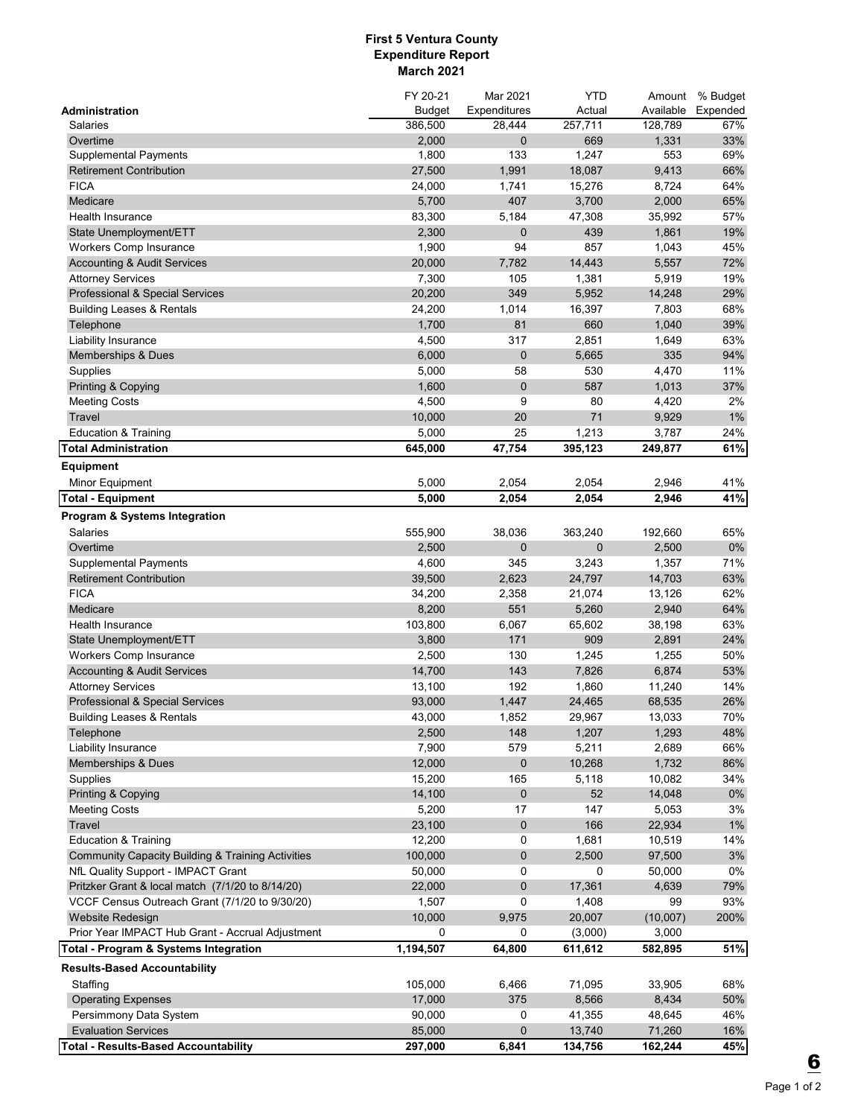## **First 5 Ventura County Expenditure Report March 2021**

|                                                              | FY 20-21      | Mar 2021     | <b>YTD</b>   | Amount    | % Budget |
|--------------------------------------------------------------|---------------|--------------|--------------|-----------|----------|
| Administration                                               | <b>Budget</b> | Expenditures | Actual       | Available | Expended |
| Salaries                                                     | 386,500       | 28,444       | 257,711      | 128,789   | 67%      |
| Overtime                                                     | 2,000         | $\mathbf 0$  | 669          | 1,331     | 33%      |
| <b>Supplemental Payments</b>                                 | 1,800         | 133          | 1,247        | 553       | 69%      |
| <b>Retirement Contribution</b>                               | 27,500        | 1,991        | 18,087       | 9,413     | 66%      |
| <b>FICA</b>                                                  | 24,000        | 1,741        | 15,276       | 8,724     | 64%      |
| Medicare                                                     | 5,700         | 407          | 3,700        | 2,000     | 65%      |
| Health Insurance                                             | 83,300        | 5,184        | 47,308       | 35,992    | 57%      |
| State Unemployment/ETT                                       | 2,300         | $\mathbf 0$  | 439          | 1,861     | 19%      |
| Workers Comp Insurance                                       | 1,900         | 94           | 857          | 1,043     | 45%      |
| <b>Accounting &amp; Audit Services</b>                       | 20,000        | 7,782        | 14,443       | 5,557     | 72%      |
| <b>Attorney Services</b>                                     | 7,300         | 105          | 1,381        | 5,919     | 19%      |
| Professional & Special Services                              | 20,200        | 349          | 5,952        | 14,248    | 29%      |
| <b>Building Leases &amp; Rentals</b>                         | 24,200        | 1,014        | 16,397       | 7,803     | 68%      |
| Telephone                                                    | 1,700         | 81           | 660          | 1,040     | 39%      |
| Liability Insurance                                          | 4,500         | 317          | 2,851        | 1,649     | 63%      |
| Memberships & Dues                                           | 6,000         | 0            | 5,665        | 335       | 94%      |
| Supplies                                                     | 5,000         | 58           | 530          | 4,470     | 11%      |
| Printing & Copying                                           | 1,600         | $\pmb{0}$    | 587          | 1,013     | 37%      |
| <b>Meeting Costs</b>                                         | 4,500         | 9            | 80           | 4,420     | 2%       |
| Travel                                                       | 10,000        | 20           | 71           | 9,929     | 1%       |
| <b>Education &amp; Training</b>                              | 5,000         | 25           | 1,213        | 3,787     | 24%      |
| <b>Total Administration</b>                                  | 645,000       | 47,754       | 395,123      | 249,877   | 61%      |
|                                                              |               |              |              |           |          |
| <b>Equipment</b>                                             |               |              |              |           |          |
| Minor Equipment                                              | 5,000         | 2,054        | 2,054        | 2,946     | 41%      |
| <b>Total - Equipment</b>                                     | 5,000         | 2,054        | 2,054        | 2,946     | 41%      |
| <b>Program &amp; Systems Integration</b>                     |               |              |              |           |          |
| Salaries                                                     | 555,900       | 38,036       | 363,240      | 192,660   | 65%      |
| Overtime                                                     | 2,500         | 0            | $\mathbf{0}$ | 2,500     | 0%       |
| <b>Supplemental Payments</b>                                 | 4,600         | 345          | 3,243        | 1,357     | 71%      |
| <b>Retirement Contribution</b>                               | 39,500        | 2,623        | 24,797       | 14,703    | 63%      |
| <b>FICA</b>                                                  | 34,200        | 2,358        | 21,074       | 13,126    | 62%      |
| Medicare                                                     | 8,200         | 551          | 5,260        | 2,940     | 64%      |
| Health Insurance                                             | 103,800       | 6,067        | 65,602       | 38,198    | 63%      |
| State Unemployment/ETT                                       | 3,800         | 171          | 909          | 2,891     | 24%      |
| <b>Workers Comp Insurance</b>                                | 2,500         | 130          | 1,245        | 1,255     | 50%      |
| <b>Accounting &amp; Audit Services</b>                       | 14,700        | 143          | 7,826        | 6,874     | 53%      |
| <b>Attorney Services</b>                                     | 13,100        | 192          | 1,860        | 11,240    | 14%      |
| Professional & Special Services                              | 93,000        | 1,447        | 24,465       | 68,535    | 26%      |
| <b>Building Leases &amp; Rentals</b>                         | 43,000        | 1,852        | 29,967       | 13,033    | 70%      |
| Telephone                                                    | 2,500         | 148          | 1,207        | 1,293     | 48%      |
| Liability Insurance                                          | 7,900         | 579          | 5,211        | 2,689     | 66%      |
| Memberships & Dues                                           | 12,000        | 0            | 10,268       | 1,732     | 86%      |
| Supplies                                                     | 15,200        | 165          | 5,118        | 10,082    | 34%      |
| Printing & Copying                                           | 14,100        | 0            | 52           | 14,048    | 0%       |
| <b>Meeting Costs</b>                                         | 5,200         | 17           | 147          | 5,053     | 3%       |
| Travel                                                       | 23,100        | $\pmb{0}$    | 166          | 22,934    | $1\%$    |
| <b>Education &amp; Training</b>                              | 12,200        | 0            | 1,681        | 10,519    | 14%      |
| <b>Community Capacity Building &amp; Training Activities</b> | 100,000       | $\pmb{0}$    | 2,500        | 97,500    | 3%       |
| NfL Quality Support - IMPACT Grant                           | 50,000        | 0            | 0            | 50,000    | $0\%$    |
| Pritzker Grant & local match (7/1/20 to 8/14/20)             | 22,000        | 0            | 17,361       | 4,639     | 79%      |
|                                                              | 1,507         | $\mathbf 0$  | 1,408        | 99        | 93%      |
| VCCF Census Outreach Grant (7/1/20 to 9/30/20)               |               |              |              |           |          |
| Website Redesign                                             | 10,000        | 9,975        | 20,007       | (10,007)  | 200%     |
| Prior Year IMPACT Hub Grant - Accrual Adjustment             | 0             | 0            | (3,000)      | 3,000     |          |
| Total - Program & Systems Integration                        | 1,194,507     | 64,800       | 611,612      | 582,895   | 51%      |
| <b>Results-Based Accountability</b>                          |               |              |              |           |          |
| Staffing                                                     | 105,000       | 6,466        | 71,095       | 33,905    | 68%      |
| <b>Operating Expenses</b>                                    | 17,000        | 375          | 8,566        | 8,434     | 50%      |
| Persimmony Data System                                       | 90,000        | 0            | 41,355       | 48,645    | 46%      |
| <b>Evaluation Services</b>                                   | 85,000        | 0            | 13,740       | 71,260    | 16%      |
| <b>Total - Results-Based Accountability</b>                  | 297,000       | 6,841        | 134,756      | 162,244   | 45%      |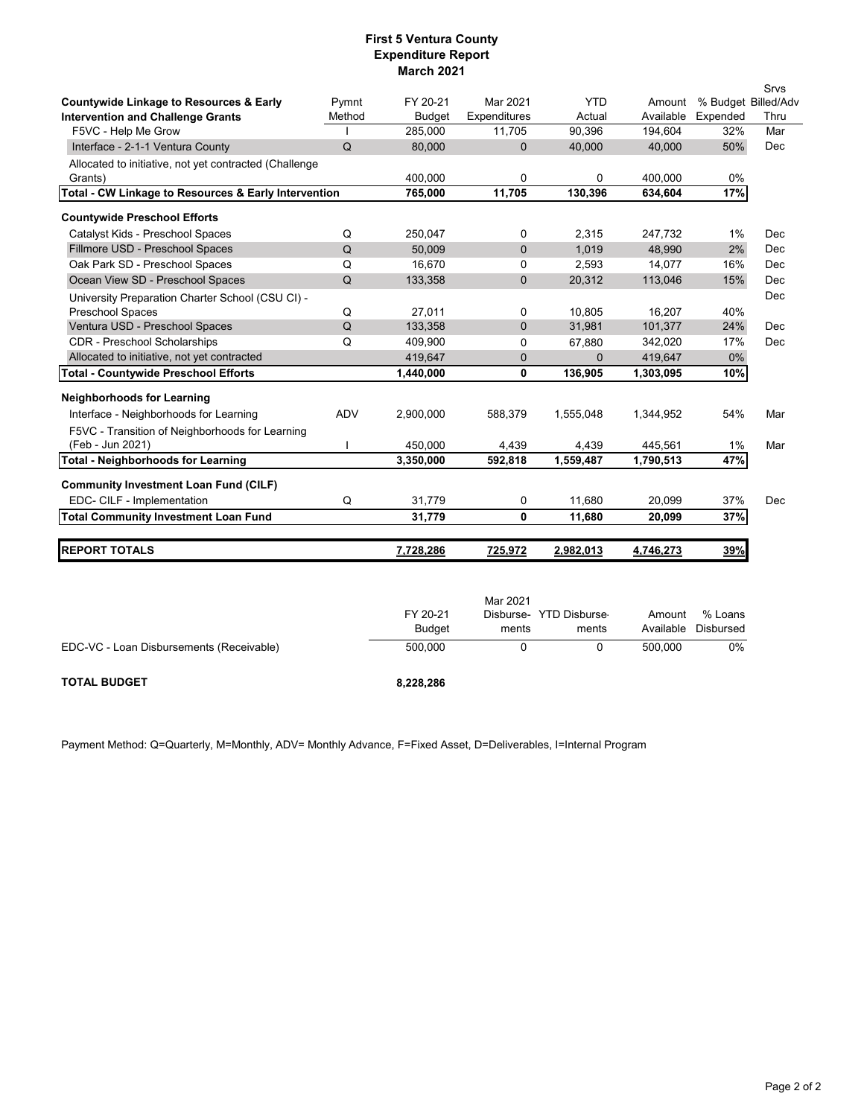## **First 5 Ventura County Expenditure Report March 2021**

|                                                                 |             |                    |                        |                        |                      |                     | Srvs        |
|-----------------------------------------------------------------|-------------|--------------------|------------------------|------------------------|----------------------|---------------------|-------------|
| <b>Countywide Linkage to Resources &amp; Early</b>              | Pymnt       | FY 20-21           | Mar 2021               | <b>YTD</b>             | Amount               | % Budget Billed/Adv |             |
| <b>Intervention and Challenge Grants</b><br>F5VC - Help Me Grow | Method      | Budget<br>285,000  | Expenditures<br>11,705 | Actual<br>90,396       | Available<br>194,604 | Expended<br>32%     | Thru<br>Mar |
|                                                                 | Q           | 80,000             | $\overline{0}$         | 40,000                 | 40,000               | 50%                 | Dec         |
| Interface - 2-1-1 Ventura County                                |             |                    |                        |                        |                      |                     |             |
| Allocated to initiative, not yet contracted (Challenge          |             |                    |                        |                        |                      |                     |             |
| Grants)<br>Total - CW Linkage to Resources & Early Intervention |             | 400,000<br>765,000 | 0<br>11,705            | $\mathbf 0$<br>130,396 | 400,000<br>634,604   | 0%<br>17%           |             |
|                                                                 |             |                    |                        |                        |                      |                     |             |
| <b>Countywide Preschool Efforts</b>                             |             |                    |                        |                        |                      |                     |             |
| Catalyst Kids - Preschool Spaces                                | Q           | 250,047            | 0                      | 2,315                  | 247,732              | 1%                  | Dec         |
| Fillmore USD - Preschool Spaces                                 | Q           | 50,009             | 0                      | 1,019                  | 48,990               | 2%                  | Dec         |
| Oak Park SD - Preschool Spaces                                  | Q           | 16,670             | 0                      | 2,593                  | 14,077               | 16%                 | Dec         |
| Ocean View SD - Preschool Spaces                                | Q           | 133,358            | $\mathbf{0}$           | 20,312                 | 113,046              | 15%                 | Dec         |
| University Preparation Charter School (CSU CI) -                |             |                    |                        |                        |                      |                     | Dec         |
| Preschool Spaces                                                | Q           | 27,011             | 0                      | 10,805                 | 16,207               | 40%                 |             |
| Ventura USD - Preschool Spaces                                  | $\mathsf Q$ | 133,358            | 0                      | 31,981                 | 101,377              | 24%                 | Dec         |
| <b>CDR</b> - Preschool Scholarships                             | Q           | 409,900            | 0                      | 67,880                 | 342,020              | 17%                 | Dec         |
| Allocated to initiative, not yet contracted                     |             | 419,647            | $\overline{0}$         | $\Omega$               | 419,647              | $0\%$               |             |
| <b>Total - Countywide Preschool Efforts</b>                     |             | 1,440,000          | 0                      | 136,905                | 1,303,095            | 10%                 |             |
| <b>Neighborhoods for Learning</b>                               |             |                    |                        |                        |                      |                     |             |
| Interface - Neighborhoods for Learning                          | ADV         | 2,900,000          | 588,379                | 1,555,048              | 1,344,952            | 54%                 | Mar         |
| F5VC - Transition of Neighborhoods for Learning                 |             |                    |                        |                        |                      |                     |             |
| (Feb - Jun 2021)                                                |             | 450,000            | 4,439                  | 4,439                  | 445,561              | 1%                  | Mar         |
| <b>Total - Neighborhoods for Learning</b>                       |             | 3,350,000          | 592,818                | 1,559,487              | 1,790,513            | 47%                 |             |
|                                                                 |             |                    |                        |                        |                      |                     |             |
| <b>Community Investment Loan Fund (CILF)</b>                    |             |                    |                        |                        |                      |                     |             |
| EDC- CILF - Implementation                                      | Q           | 31,779             | 0                      | 11,680                 | 20,099               | 37%                 | Dec         |
| <b>Total Community Investment Loan Fund</b>                     |             | 31,779             | $\mathbf{0}$           | 11,680                 | 20,099               | 37%                 |             |
| <b>REPORT TOTALS</b>                                            |             | 7,728,286          | 725,972                | 2,982,013              | 4,746,273            | 39%                 |             |
|                                                                 |             |                    |                        |                        |                      |                     |             |
|                                                                 |             |                    |                        |                        |                      |                     |             |
|                                                                 |             |                    | Mar 2021               |                        |                      |                     |             |
|                                                                 |             | FY 20-21           | Disburse-              | <b>YTD Disburse</b>    | Amount               | % Loans             |             |
|                                                                 |             | <b>Budget</b>      | ments                  | ments                  | Available            | <b>Disbursed</b>    |             |
|                                                                 |             | 500,000            | 0                      | 0                      | 500,000              | 0%                  |             |
| EDC-VC - Loan Disbursements (Receivable)                        |             |                    |                        |                        |                      |                     |             |
| <b>TOTAL BUDGET</b>                                             |             | 8,228,286          |                        |                        |                      |                     |             |
|                                                                 |             |                    |                        |                        |                      |                     |             |

<span id="page-1-3"></span><span id="page-1-2"></span><span id="page-1-1"></span><span id="page-1-0"></span>Payment Method: Q=Quarterly, M=Monthly, ADV= Monthly Advance, F=Fixed Asset, D=Deliverables, I=Internal Program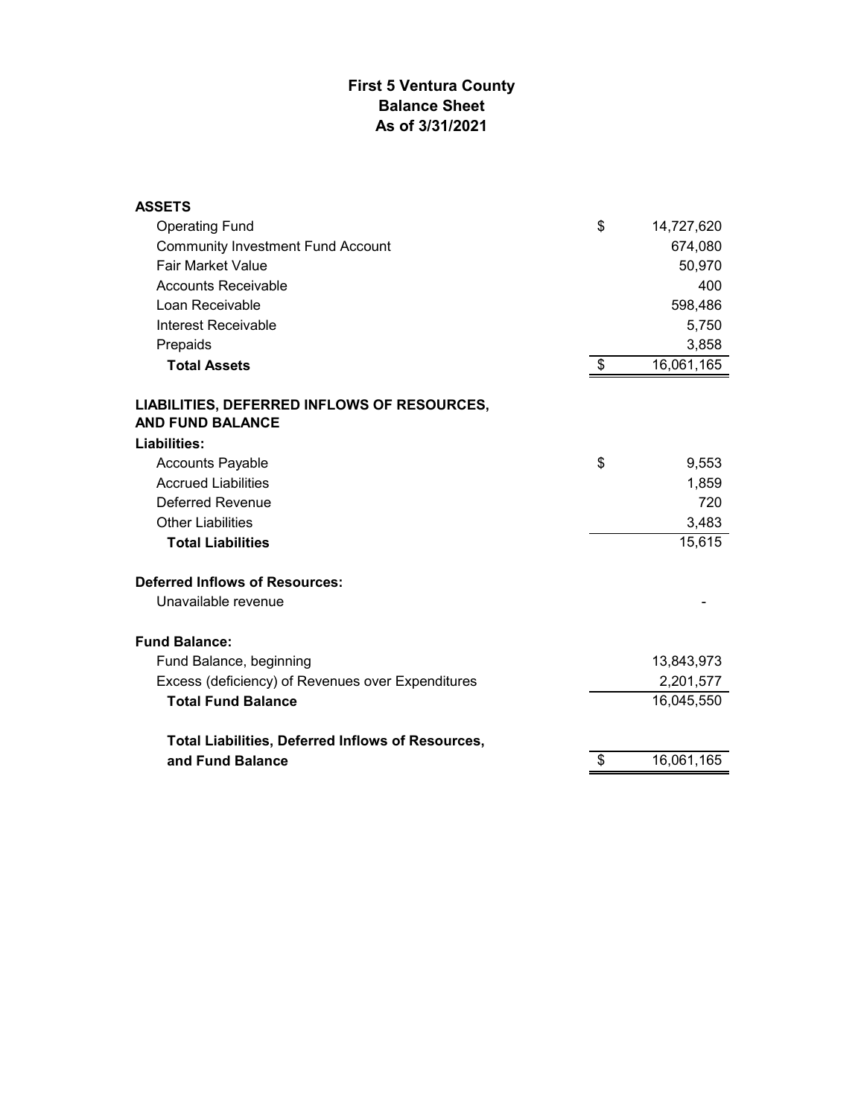## **First 5 Ventura County Balance Sheet As of 3/31/2021**

| <b>ASSETS</b>                                                          |                  |
|------------------------------------------------------------------------|------------------|
| <b>Operating Fund</b>                                                  | \$<br>14,727,620 |
| <b>Community Investment Fund Account</b>                               | 674,080          |
| <b>Fair Market Value</b>                                               | 50,970           |
| <b>Accounts Receivable</b>                                             | 400              |
| Loan Receivable                                                        | 598,486          |
| Interest Receivable                                                    | 5,750            |
| Prepaids                                                               | 3,858            |
| <b>Total Assets</b>                                                    | \$<br>16,061,165 |
| LIABILITIES, DEFERRED INFLOWS OF RESOURCES,<br><b>AND FUND BALANCE</b> |                  |
| Liabilities:                                                           |                  |
| <b>Accounts Payable</b>                                                | \$<br>9,553      |
| <b>Accrued Liabilities</b>                                             | 1,859            |
| Deferred Revenue                                                       | 720              |
| <b>Other Liabilities</b>                                               | 3,483            |
| <b>Total Liabilities</b>                                               | 15,615           |
| <b>Deferred Inflows of Resources:</b>                                  |                  |
| Unavailable revenue                                                    |                  |
| <b>Fund Balance:</b>                                                   |                  |
| Fund Balance, beginning                                                | 13,843,973       |
| Excess (deficiency) of Revenues over Expenditures                      | 2,201,577        |
| <b>Total Fund Balance</b>                                              | 16,045,550       |
| <b>Total Liabilities, Deferred Inflows of Resources,</b>               |                  |
| and Fund Balance                                                       | \$<br>16,061,165 |